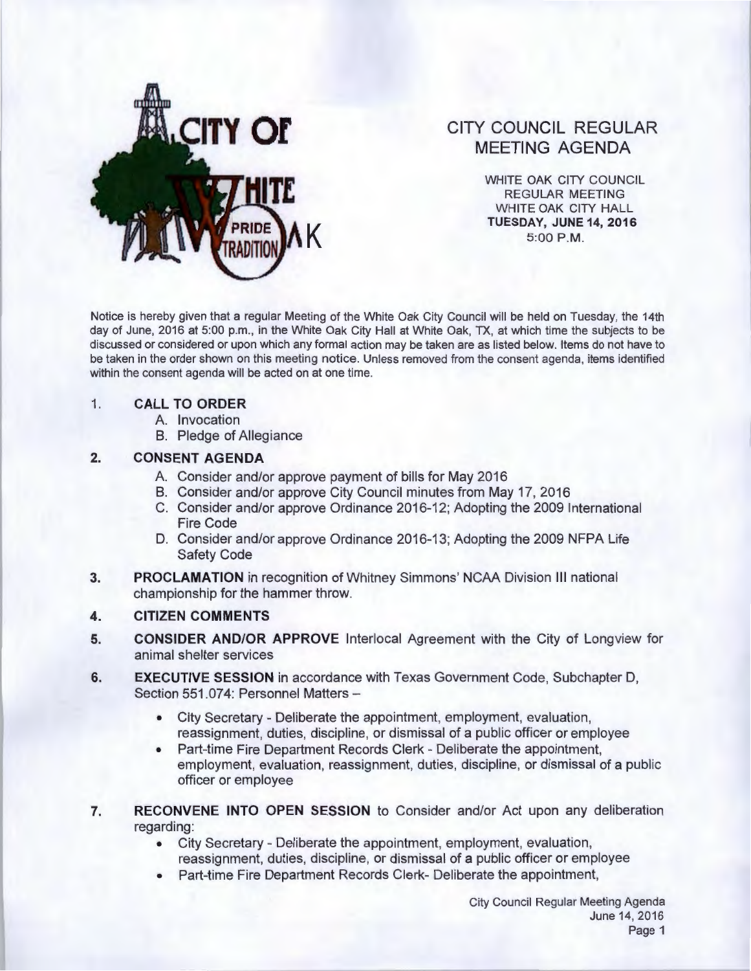

# CITY COUNCIL REGULAR MEETING AGENDA

WHITE OAK CITY COUNCIL REGULAR MEETING WHITE OAK CITY HALL TUESDAY, JUNE 14, 2016<br>5:00 P.M.

Notice is hereby given that a regular Meeting of the White Oak City Council will be held on Tuesday, the 14th day of June, 2016 at 5:00 p.m. , in the White Oak City Hall at White Oak, TX, at which time the subjects to be discussed or considered or upon which any formal action may be taken are as listed below. Items do not have to be taken in the order shown on this meeting notice. Unless removed from the consent agenda, items identified within the consent agenda will be acted on at one time.

#### 1. CALL TO ORDER

- A. Invocation
- B. Pledge of Allegiance

### 2. CONSENT AGENDA

- A. Consider and/or approve payment of bills for May 2016
- B. Consider and/or approve City Council minutes from May 17, 2016
- C. Consider and/or approve Ordinance 20 16-12; Adopting the 2009 International Fire Code
- D. Consider and/or approve Ordinance 2016-13; Adopting the 2009 NFPA Life Safety Code
- 3. PROCLAMATION in recognition of Whitney Simmons' NCAA Division Ill national championship for the hammer throw.

# 4. CITIZEN COMMENTS

- 5. CONSIDER AND/OR APPROVE lnterlocal Agreement with the City of Longview for animal shelter services
- 6. EXECUTIVE SESSION in accordance with Texas Government Code, Subchapter D, Section 551.074: Personnel Matters-
	- City Secretary Deliberate the appointment, employment, evaluation, reassignment, duties, discipline, or dismissal of a public officer or employee
	- Part-time Fire Department Records Clerk Deliberate the appointment, employment, evaluation, reassignment, duties, discipline, or dismissal of a public officer or employee
- 7. RECONVENE INTO OPEN SESSION to Consider and/or Act upon any deliberation regarding:
	- City Secretary- Deliberate the appointment, employment, evaluation, reassignment, duties, discipline, or dismissal of a public officer or employee
	- Part-time Fire Department Records Clerk- Deliberate the appointment,